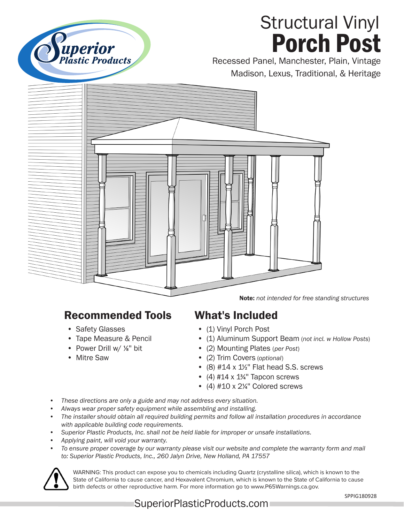

## Structural Vinyl Porch Post

Recessed Panel, Manchester, Plain, Vintage Madison, Lexus, Traditional, & Heritage



Note: *not intended for free standing structures*

## Recommended Tools

- Safety Glasses
- Tape Measure & Pencil
- Power Drill w/ 1/8" bit
- Mitre Saw

## What's Included

- (1) Vinyl Porch Post
- (1) Aluminum Support Beam (*not incl. w Hollow Posts*)
- (2) Mounting Plates (*per Post*)
- (2) Trim Covers (*optional*)
- (8)  $#14 \times 1\frac{1}{2}$ " Flat head S.S. screws
- (4) #14  $\times$  1<sup>3</sup>/<sub>4</sub>" Tapcon screws
- (4)  $#10 \times 2\frac{1}{4}$  Colored screws
- *• These directions are only a guide and may not address every situation.*
- *• Always wear proper safety equipment while assembling and installing.*
- *• The installer should obtain all required building permits and follow all installation procedures in accordance with applicable building code requirements.*
- *• Superior Plastic Products, Inc. shall not be held liable for improper or unsafe installations.*
- *• Applying paint, will void your warranty.*
- *• To ensure proper coverage by our warranty please visit our website and complete the warranty form and mail to: Superior Plastic Products, Inc., 260 Jalyn Drive, New Holland, PA 17557*



WARNING: This product can expose you to chemicals including Quartz (crystalline silica), which is known to the State of California to cause cancer, and Hexavalent Chromium, which is known to the State of California to cause birth defects or other reproductive harm. For more information go to www.P65Warnings.ca.gov.